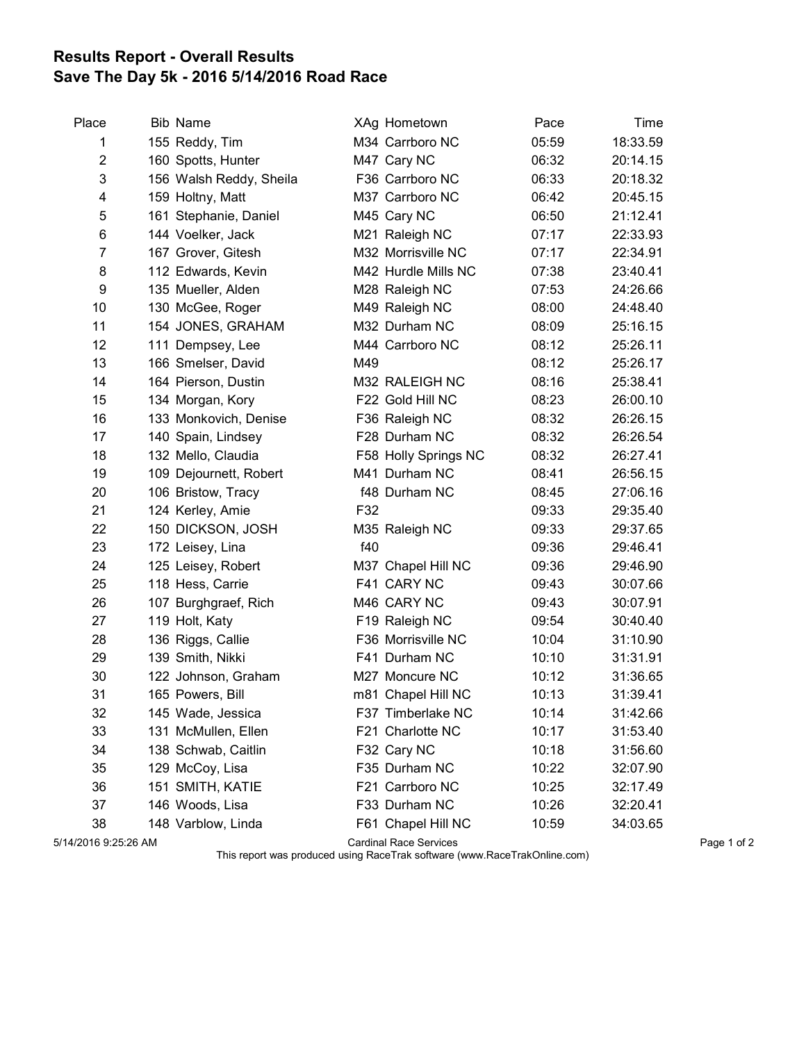## Results Report - Overall Results Save The Day 5k - 2016 5/14/2016 Road Race

| Place | <b>Bib Name</b>         |     | XAg Hometown         | Pace  | Time     |
|-------|-------------------------|-----|----------------------|-------|----------|
| 1     | 155 Reddy, Tim          |     | M34 Carrboro NC      | 05:59 | 18:33.59 |
| 2     | 160 Spotts, Hunter      |     | M47 Cary NC          | 06:32 | 20:14.15 |
| 3     | 156 Walsh Reddy, Sheila |     | F36 Carrboro NC      | 06:33 | 20:18.32 |
| 4     | 159 Holtny, Matt        |     | M37 Carrboro NC      | 06:42 | 20:45.15 |
| 5     | 161 Stephanie, Daniel   |     | M45 Cary NC          | 06:50 | 21:12.41 |
| 6     | 144 Voelker, Jack       |     | M21 Raleigh NC       | 07:17 | 22:33.93 |
| 7     | 167 Grover, Gitesh      |     | M32 Morrisville NC   | 07:17 | 22:34.91 |
| 8     | 112 Edwards, Kevin      |     | M42 Hurdle Mills NC  | 07:38 | 23:40.41 |
| 9     | 135 Mueller, Alden      |     | M28 Raleigh NC       | 07:53 | 24:26.66 |
| 10    | 130 McGee, Roger        |     | M49 Raleigh NC       | 08:00 | 24:48.40 |
| 11    | 154 JONES, GRAHAM       |     | M32 Durham NC        | 08:09 | 25:16.15 |
| 12    | 111 Dempsey, Lee        |     | M44 Carrboro NC      | 08:12 | 25:26.11 |
| 13    | 166 Smelser, David      | M49 |                      | 08:12 | 25:26.17 |
| 14    | 164 Pierson, Dustin     |     | M32 RALEIGH NC       | 08:16 | 25:38.41 |
| 15    | 134 Morgan, Kory        |     | F22 Gold Hill NC     | 08:23 | 26:00.10 |
| 16    | 133 Monkovich, Denise   |     | F36 Raleigh NC       | 08:32 | 26:26.15 |
| 17    | 140 Spain, Lindsey      |     | F28 Durham NC        | 08:32 | 26:26.54 |
| 18    | 132 Mello, Claudia      |     | F58 Holly Springs NC | 08:32 | 26:27.41 |
| 19    | 109 Dejournett, Robert  |     | M41 Durham NC        | 08:41 | 26:56.15 |
| 20    | 106 Bristow, Tracy      |     | f48 Durham NC        | 08:45 | 27:06.16 |
| 21    | 124 Kerley, Amie        | F32 |                      | 09:33 | 29:35.40 |
| 22    | 150 DICKSON, JOSH       |     | M35 Raleigh NC       | 09:33 | 29:37.65 |
| 23    | 172 Leisey, Lina        | f40 |                      | 09:36 | 29:46.41 |
| 24    | 125 Leisey, Robert      |     | M37 Chapel Hill NC   | 09:36 | 29:46.90 |
| 25    | 118 Hess, Carrie        |     | F41 CARY NC          | 09:43 | 30:07.66 |
| 26    | 107 Burghgraef, Rich    |     | M46 CARY NC          | 09:43 | 30:07.91 |
| 27    | 119 Holt, Katy          |     | F19 Raleigh NC       | 09:54 | 30:40.40 |
| 28    | 136 Riggs, Callie       |     | F36 Morrisville NC   | 10:04 | 31:10.90 |
| 29    | 139 Smith, Nikki        |     | F41 Durham NC        | 10:10 | 31:31.91 |
| 30    | 122 Johnson, Graham     |     | M27 Moncure NC       | 10:12 | 31:36.65 |
| 31    | 165 Powers, Bill        |     | m81 Chapel Hill NC   | 10:13 | 31:39.41 |
| 32    | 145 Wade, Jessica       |     | F37 Timberlake NC    | 10:14 | 31:42.66 |
| 33    | 131 McMullen, Ellen     |     | F21 Charlotte NC     | 10:17 | 31:53.40 |
| 34    | 138 Schwab, Caitlin     |     | F32 Cary NC          | 10:18 | 31:56.60 |
| 35    | 129 McCoy, Lisa         |     | F35 Durham NC        | 10:22 | 32:07.90 |
| 36    | 151 SMITH, KATIE        |     | F21 Carrboro NC      | 10:25 | 32:17.49 |
| 37    | 146 Woods, Lisa         |     | F33 Durham NC        | 10:26 | 32:20.41 |
| 38    | 148 Varblow, Linda      |     | F61 Chapel Hill NC   | 10:59 | 34:03.65 |
|       |                         |     |                      |       |          |

5/14/2016 9:25:26 AM Cardinal Race Services Page 1 of 2

This report was produced using RaceTrak software (www.RaceTrakOnline.com)